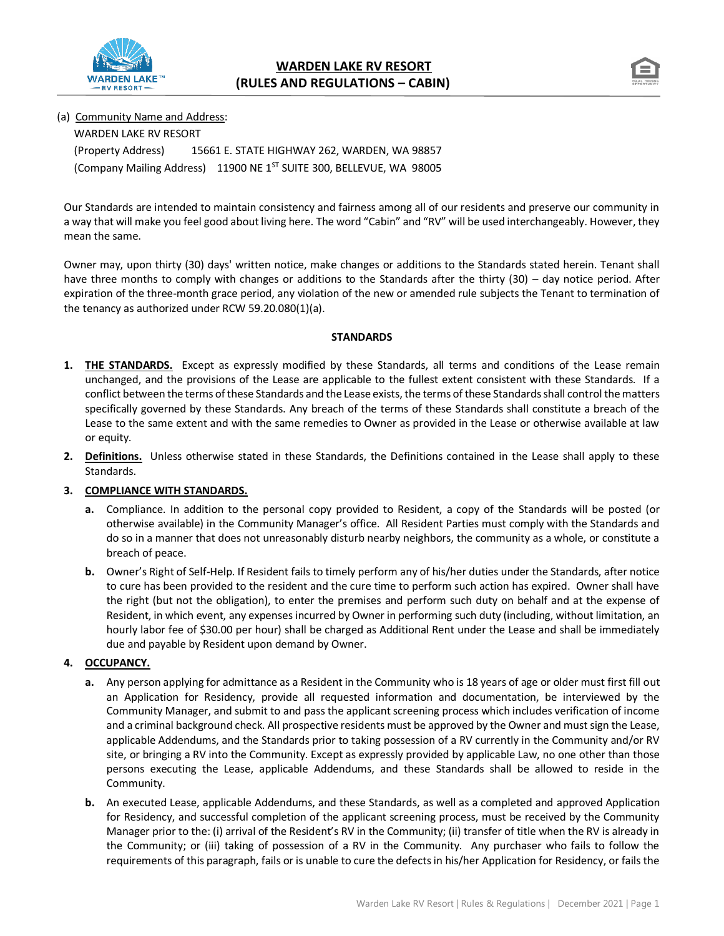



(a) Community Name and Address:

WARDEN LAKE RV RESORT (Property Address) 15661 E. STATE HIGHWAY 262, WARDEN, WA 98857 (Company Mailing Address) 11900 NE 1ST SUITE 300, BELLEVUE, WA 98005

Our Standards are intended to maintain consistency and fairness among all of our residents and preserve our community in a way that will make you feel good about living here. The word "Cabin" and "RV" will be used interchangeably. However, they mean the same.

Owner may, upon thirty (30) days' written notice, make changes or additions to the Standards stated herein. Tenant shall have three months to comply with changes or additions to the Standards after the thirty (30) – day notice period. After expiration of the three-month grace period, any violation of the new or amended rule subjects the Tenant to termination of the tenancy as authorized under RCW 59.20.080(1)(a).

#### **STANDARDS**

- **1. THE STANDARDS.** Except as expressly modified by these Standards, all terms and conditions of the Lease remain unchanged, and the provisions of the Lease are applicable to the fullest extent consistent with these Standards. If a conflict between the terms of these Standards and the Lease exists, the terms of these Standards shall control the matters specifically governed by these Standards. Any breach of the terms of these Standards shall constitute a breach of the Lease to the same extent and with the same remedies to Owner as provided in the Lease or otherwise available at law or equity.
- **2. Definitions.** Unless otherwise stated in these Standards, the Definitions contained in the Lease shall apply to these Standards.

## **3. COMPLIANCE WITH STANDARDS.**

- **a.** Compliance. In addition to the personal copy provided to Resident, a copy of the Standards will be posted (or otherwise available) in the Community Manager's office. All Resident Parties must comply with the Standards and do so in a manner that does not unreasonably disturb nearby neighbors, the community as a whole, or constitute a breach of peace.
- **b.** Owner's Right of Self-Help. If Resident fails to timely perform any of his/her duties under the Standards, after notice to cure has been provided to the resident and the cure time to perform such action has expired. Owner shall have the right (but not the obligation), to enter the premises and perform such duty on behalf and at the expense of Resident, in which event, any expenses incurred by Owner in performing such duty (including, without limitation, an hourly labor fee of \$30.00 per hour) shall be charged as Additional Rent under the Lease and shall be immediately due and payable by Resident upon demand by Owner.

# **4. OCCUPANCY.**

- **a.** Any person applying for admittance as a Resident in the Community who is 18 years of age or older must first fill out an Application for Residency, provide all requested information and documentation, be interviewed by the Community Manager, and submit to and pass the applicant screening process which includes verification of income and a criminal background check. All prospective residents must be approved by the Owner and must sign the Lease, applicable Addendums, and the Standards prior to taking possession of a RV currently in the Community and/or RV site, or bringing a RV into the Community. Except as expressly provided by applicable Law, no one other than those persons executing the Lease, applicable Addendums, and these Standards shall be allowed to reside in the Community.
- **b.** An executed Lease, applicable Addendums, and these Standards, as well as a completed and approved Application for Residency, and successful completion of the applicant screening process, must be received by the Community Manager prior to the: (i) arrival of the Resident's RV in the Community; (ii) transfer of title when the RV is already in the Community; or (iii) taking of possession of a RV in the Community. Any purchaser who fails to follow the requirements of this paragraph, fails or is unable to cure the defects in his/her Application for Residency, or fails the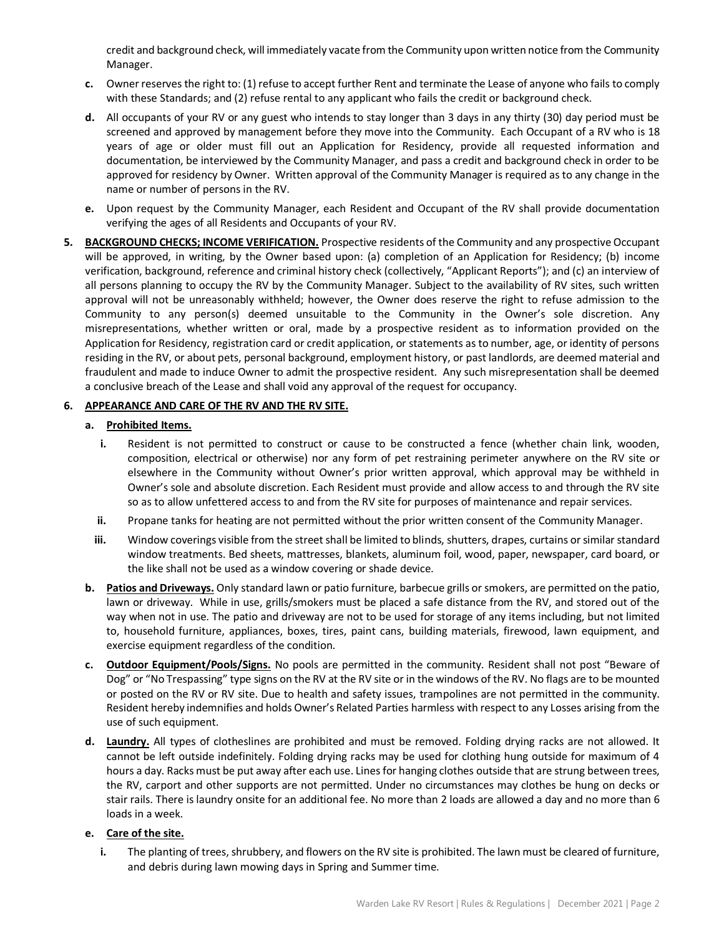credit and background check, will immediately vacate from the Community upon written notice from the Community Manager.

- **c.** Owner reserves the right to: (1) refuse to accept further Rent and terminate the Lease of anyone who fails to comply with these Standards; and (2) refuse rental to any applicant who fails the credit or background check.
- **d.** All occupants of your RV or any guest who intends to stay longer than 3 days in any thirty (30) day period must be screened and approved by management before they move into the Community. Each Occupant of a RV who is 18 years of age or older must fill out an Application for Residency, provide all requested information and documentation, be interviewed by the Community Manager, and pass a credit and background check in order to be approved for residency by Owner. Written approval of the Community Manager is required as to any change in the name or number of persons in the RV.
- **e.** Upon request by the Community Manager, each Resident and Occupant of the RV shall provide documentation verifying the ages of all Residents and Occupants of your RV.
- **5. BACKGROUND CHECKS; INCOME VERIFICATION.** Prospective residents of the Community and any prospective Occupant will be approved, in writing, by the Owner based upon: (a) completion of an Application for Residency; (b) income verification, background, reference and criminal history check (collectively, "Applicant Reports"); and (c) an interview of all persons planning to occupy the RV by the Community Manager. Subject to the availability of RV sites, such written approval will not be unreasonably withheld; however, the Owner does reserve the right to refuse admission to the Community to any person(s) deemed unsuitable to the Community in the Owner's sole discretion. Any misrepresentations, whether written or oral, made by a prospective resident as to information provided on the Application for Residency, registration card or credit application, or statements as to number, age, or identity of persons residing in the RV, or about pets, personal background, employment history, or past landlords, are deemed material and fraudulent and made to induce Owner to admit the prospective resident. Any such misrepresentation shall be deemed a conclusive breach of the Lease and shall void any approval of the request for occupancy.

## **6. APPEARANCE AND CARE OF THE RV AND THE RV SITE.**

#### **a. Prohibited Items.**

- **i.** Resident is not permitted to construct or cause to be constructed a fence (whether chain link, wooden, composition, electrical or otherwise) nor any form of pet restraining perimeter anywhere on the RV site or elsewhere in the Community without Owner's prior written approval, which approval may be withheld in Owner's sole and absolute discretion. Each Resident must provide and allow access to and through the RV site so as to allow unfettered access to and from the RV site for purposes of maintenance and repair services.
- **ii.** Propane tanks for heating are not permitted without the prior written consent of the Community Manager.
- **iii.** Window coverings visible from the street shall be limited to blinds, shutters, drapes, curtains or similar standard window treatments. Bed sheets, mattresses, blankets, aluminum foil, wood, paper, newspaper, card board, or the like shall not be used as a window covering or shade device.
- **b. Patios and Driveways.** Only standard lawn or patio furniture, barbecue grills or smokers, are permitted on the patio, lawn or driveway. While in use, grills/smokers must be placed a safe distance from the RV, and stored out of the way when not in use. The patio and driveway are not to be used for storage of any items including, but not limited to, household furniture, appliances, boxes, tires, paint cans, building materials, firewood, lawn equipment, and exercise equipment regardless of the condition.
- **c. Outdoor Equipment/Pools/Signs.** No pools are permitted in the community. Resident shall not post "Beware of Dog" or "No Trespassing" type signs on the RV at the RV site or in the windows of the RV. No flags are to be mounted or posted on the RV or RV site. Due to health and safety issues, trampolines are not permitted in the community. Resident hereby indemnifies and holds Owner's Related Parties harmless with respect to any Losses arising from the use of such equipment.
- **d. Laundry.** All types of clotheslines are prohibited and must be removed. Folding drying racks are not allowed. It cannot be left outside indefinitely. Folding drying racks may be used for clothing hung outside for maximum of 4 hours a day. Racks must be put away after each use. Lines for hanging clothes outside that are strung between trees, the RV, carport and other supports are not permitted. Under no circumstances may clothes be hung on decks or stair rails. There is laundry onsite for an additional fee. No more than 2 loads are allowed a day and no more than 6 loads in a week.

## **e. Care of the site.**

**i.** The planting of trees, shrubbery, and flowers on the RV site is prohibited. The lawn must be cleared of furniture, and debris during lawn mowing days in Spring and Summer time.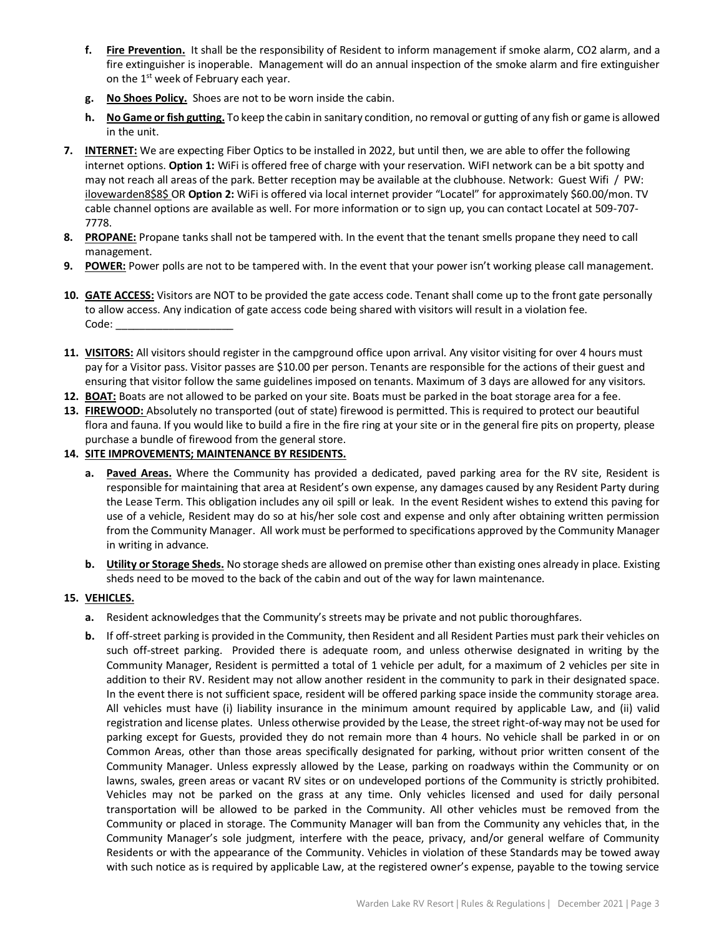- **f. Fire Prevention.** It shall be the responsibility of Resident to inform management if smoke alarm, CO2 alarm, and a fire extinguisher is inoperable. Management will do an annual inspection of the smoke alarm and fire extinguisher on the  $1<sup>st</sup>$  week of February each year.
- **g. No Shoes Policy.** Shoes are not to be worn inside the cabin.
- **h. No Game or fish gutting.** To keep the cabin in sanitary condition, no removal or gutting of any fish or game is allowed in the unit.
- **7. INTERNET:** We are expecting Fiber Optics to be installed in 2022, but until then, we are able to offer the following internet options. **Option 1:** WiFi is offered free of charge with your reservation. WiFI network can be a bit spotty and may not reach all areas of the park. Better reception may be available at the clubhouse. Network: Guest Wifi / PW: ilovewarden8\$8\$ OR **Option 2:** WiFi is offered via local internet provider "Locatel" for approximately \$60.00/mon. TV cable channel options are available as well. For more information or to sign up, you can contact Locatel at 509-707- 7778.
- **8. PROPANE:** Propane tanks shall not be tampered with. In the event that the tenant smells propane they need to call management.
- **9. POWER:** Power polls are not to be tampered with. In the event that your power isn't working please call management.
- **10. GATE ACCESS:** Visitors are NOT to be provided the gate access code. Tenant shall come up to the front gate personally to allow access. Any indication of gate access code being shared with visitors will result in a violation fee. Code:
- **11. VISITORS:** All visitors should register in the campground office upon arrival. Any visitor visiting for over 4 hours must pay for a Visitor pass. Visitor passes are \$10.00 per person. Tenants are responsible for the actions of their guest and ensuring that visitor follow the same guidelines imposed on tenants. Maximum of 3 days are allowed for any visitors.
- **12. BOAT:** Boats are not allowed to be parked on your site. Boats must be parked in the boat storage area for a fee.
- **13. FIREWOOD:** Absolutely no transported (out of state) firewood is permitted. This is required to protect our beautiful flora and fauna. If you would like to build a fire in the fire ring at your site or in the general fire pits on property, please purchase a bundle of firewood from the general store.

## **14. SITE IMPROVEMENTS; MAINTENANCE BY RESIDENTS.**

- **a. Paved Areas.** Where the Community has provided a dedicated, paved parking area for the RV site, Resident is responsible for maintaining that area at Resident's own expense, any damages caused by any Resident Party during the Lease Term. This obligation includes any oil spill or leak. In the event Resident wishes to extend this paving for use of a vehicle, Resident may do so at his/her sole cost and expense and only after obtaining written permission from the Community Manager. All work must be performed to specifications approved by the Community Manager in writing in advance.
- **b. Utility or Storage Sheds.** No storage sheds are allowed on premise other than existing ones already in place. Existing sheds need to be moved to the back of the cabin and out of the way for lawn maintenance.

## **15. VEHICLES.**

- **a.** Resident acknowledges that the Community's streets may be private and not public thoroughfares.
- **b.** If off-street parking is provided in the Community, then Resident and all Resident Parties must park their vehicles on such off-street parking. Provided there is adequate room, and unless otherwise designated in writing by the Community Manager, Resident is permitted a total of 1 vehicle per adult, for a maximum of 2 vehicles per site in addition to their RV. Resident may not allow another resident in the community to park in their designated space. In the event there is not sufficient space, resident will be offered parking space inside the community storage area. All vehicles must have (i) liability insurance in the minimum amount required by applicable Law, and (ii) valid registration and license plates. Unless otherwise provided by the Lease, the street right-of-way may not be used for parking except for Guests, provided they do not remain more than 4 hours. No vehicle shall be parked in or on Common Areas, other than those areas specifically designated for parking, without prior written consent of the Community Manager. Unless expressly allowed by the Lease, parking on roadways within the Community or on lawns, swales, green areas or vacant RV sites or on undeveloped portions of the Community is strictly prohibited. Vehicles may not be parked on the grass at any time. Only vehicles licensed and used for daily personal transportation will be allowed to be parked in the Community. All other vehicles must be removed from the Community or placed in storage. The Community Manager will ban from the Community any vehicles that, in the Community Manager's sole judgment, interfere with the peace, privacy, and/or general welfare of Community Residents or with the appearance of the Community. Vehicles in violation of these Standards may be towed away with such notice as is required by applicable Law, at the registered owner's expense, payable to the towing service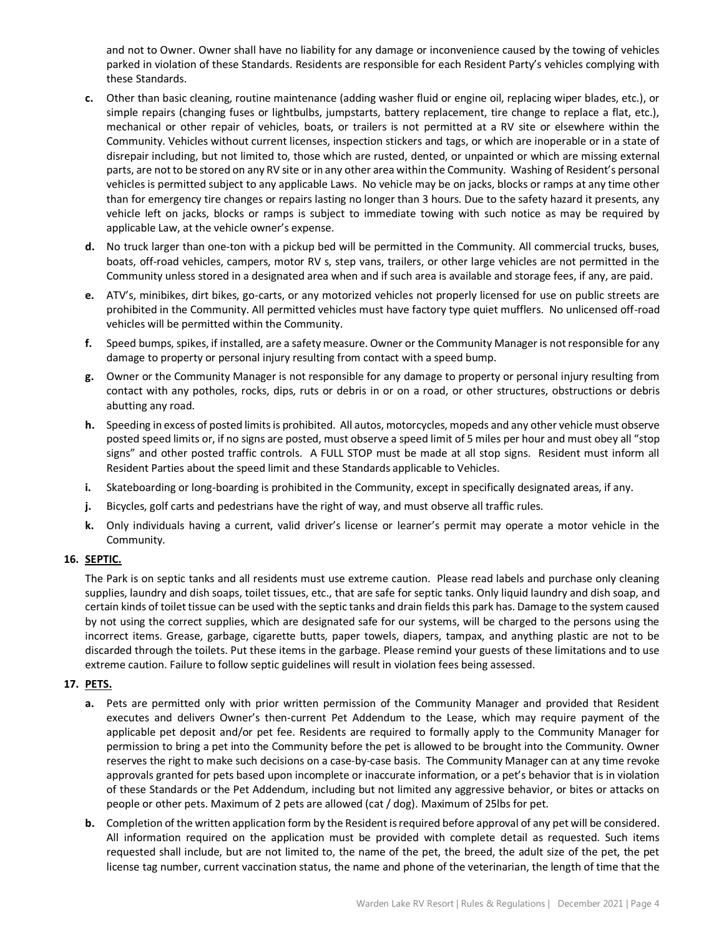and not to Owner. Owner shall have no liability for any damage or inconvenience caused by the towing of vehicles parked in violation of these Standards. Residents are responsible for each Resident Party's vehicles complying with these Standards.

- **c.** Other than basic cleaning, routine maintenance (adding washer fluid or engine oil, replacing wiper blades, etc.), or simple repairs (changing fuses or lightbulbs, jumpstarts, battery replacement, tire change to replace a flat, etc.), mechanical or other repair of vehicles, boats, or trailers is not permitted at a RV site or elsewhere within the Community. Vehicles without current licenses, inspection stickers and tags, or which are inoperable or in a state of disrepair including, but not limited to, those which are rusted, dented, or unpainted or which are missing external parts, are not to be stored on any RV site or in any other area within the Community. Washing of Resident's personal vehicles is permitted subject to any applicable Laws. No vehicle may be on jacks, blocks or ramps at any time other than for emergency tire changes or repairs lasting no longer than 3 hours. Due to the safety hazard it presents, any vehicle left on jacks, blocks or ramps is subject to immediate towing with such notice as may be required by applicable Law, at the vehicle owner's expense.
- **d.** No truck larger than one-ton with a pickup bed will be permitted in the Community. All commercial trucks, buses, boats, off-road vehicles, campers, motor RV s, step vans, trailers, or other large vehicles are not permitted in the Community unless stored in a designated area when and if such area is available and storage fees, if any, are paid.
- **e.** ATV's, minibikes, dirt bikes, go-carts, or any motorized vehicles not properly licensed for use on public streets are prohibited in the Community. All permitted vehicles must have factory type quiet mufflers. No unlicensed off-road vehicles will be permitted within the Community.
- **f.** Speed bumps, spikes, if installed, are a safety measure. Owner or the Community Manager is not responsible for any damage to property or personal injury resulting from contact with a speed bump.
- **g.** Owner or the Community Manager is not responsible for any damage to property or personal injury resulting from contact with any potholes, rocks, dips, ruts or debris in or on a road, or other structures, obstructions or debris abutting any road.
- **h.** Speeding in excess of posted limits is prohibited. All autos, motorcycles, mopeds and any other vehicle must observe posted speed limits or, if no signs are posted, must observe a speed limit of 5 miles per hour and must obey all "stop signs" and other posted traffic controls. A FULL STOP must be made at all stop signs. Resident must inform all Resident Parties about the speed limit and these Standards applicable to Vehicles.
- **i.** Skateboarding or long-boarding is prohibited in the Community, except in specifically designated areas, if any.
- **j.** Bicycles, golf carts and pedestrians have the right of way, and must observe all traffic rules.
- **k.** Only individuals having a current, valid driver's license or learner's permit may operate a motor vehicle in the Community.

## **16. SEPTIC.**

The Park is on septic tanks and all residents must use extreme caution. Please read labels and purchase only cleaning supplies, laundry and dish soaps, toilet tissues, etc., that are safe for septic tanks. Only liquid laundry and dish soap, and certain kinds of toilet tissue can be used with the septic tanks and drain fields this park has. Damage to the system caused by not using the correct supplies, which are designated safe for our systems, will be charged to the persons using the incorrect items. Grease, garbage, cigarette butts, paper towels, diapers, tampax, and anything plastic are not to be discarded through the toilets. Put these items in the garbage. Please remind your guests of these limitations and to use extreme caution. Failure to follow septic guidelines will result in violation fees being assessed.

## **17. PETS.**

- **a.** Pets are permitted only with prior written permission of the Community Manager and provided that Resident executes and delivers Owner's then-current Pet Addendum to the Lease, which may require payment of the applicable pet deposit and/or pet fee. Residents are required to formally apply to the Community Manager for permission to bring a pet into the Community before the pet is allowed to be brought into the Community. Owner reserves the right to make such decisions on a case-by-case basis. The Community Manager can at any time revoke approvals granted for pets based upon incomplete or inaccurate information, or a pet's behavior that is in violation of these Standards or the Pet Addendum, including but not limited any aggressive behavior, or bites or attacks on people or other pets. Maximum of 2 pets are allowed (cat / dog). Maximum of 25lbs for pet.
- **b.** Completion of the written application form by the Resident is required before approval of any pet will be considered. All information required on the application must be provided with complete detail as requested. Such items requested shall include, but are not limited to, the name of the pet, the breed, the adult size of the pet, the pet license tag number, current vaccination status, the name and phone of the veterinarian, the length of time that the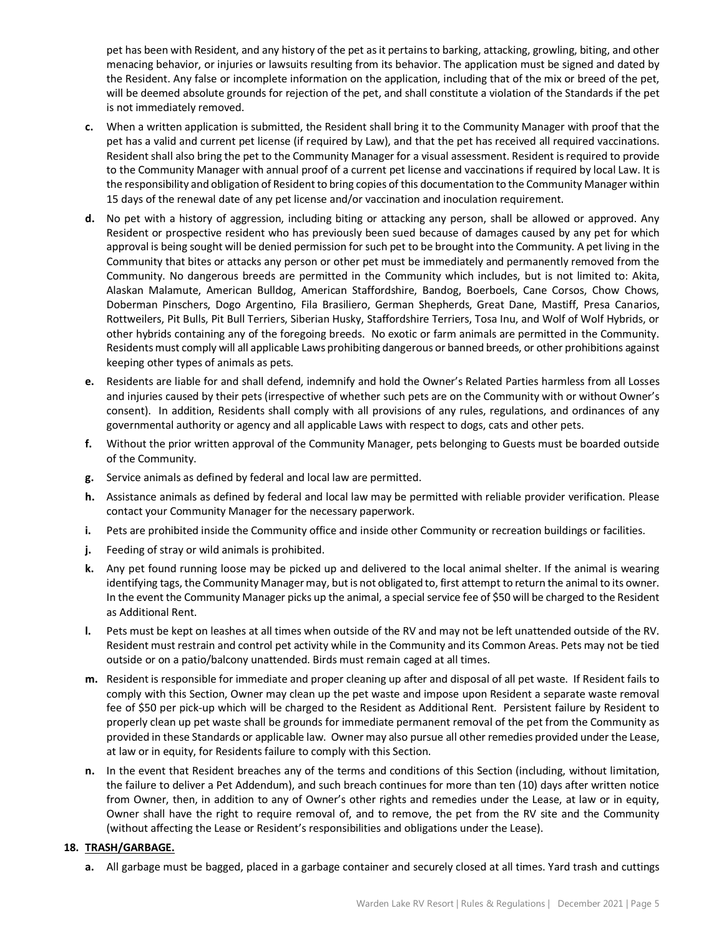pet has been with Resident, and any history of the pet as it pertains to barking, attacking, growling, biting, and other menacing behavior, or injuries or lawsuits resulting from its behavior. The application must be signed and dated by the Resident. Any false or incomplete information on the application, including that of the mix or breed of the pet, will be deemed absolute grounds for rejection of the pet, and shall constitute a violation of the Standards if the pet is not immediately removed.

- **c.** When a written application is submitted, the Resident shall bring it to the Community Manager with proof that the pet has a valid and current pet license (if required by Law), and that the pet has received all required vaccinations. Resident shall also bring the pet to the Community Manager for a visual assessment. Resident is required to provide to the Community Manager with annual proof of a current pet license and vaccinations if required by local Law. It is the responsibility and obligation of Resident to bring copies of this documentation to the Community Manager within 15 days of the renewal date of any pet license and/or vaccination and inoculation requirement.
- **d.** No pet with a history of aggression, including biting or attacking any person, shall be allowed or approved. Any Resident or prospective resident who has previously been sued because of damages caused by any pet for which approval is being sought will be denied permission for such pet to be brought into the Community. A pet living in the Community that bites or attacks any person or other pet must be immediately and permanently removed from the Community. No dangerous breeds are permitted in the Community which includes, but is not limited to: Akita, Alaskan Malamute, American Bulldog, American Staffordshire, Bandog, Boerboels, Cane Corsos, Chow Chows, Doberman Pinschers, Dogo Argentino, Fila Brasiliero, German Shepherds, Great Dane, Mastiff, Presa Canarios, Rottweilers, Pit Bulls, Pit Bull Terriers, Siberian Husky, Staffordshire Terriers, Tosa Inu, and Wolf of Wolf Hybrids, or other hybrids containing any of the foregoing breeds. No exotic or farm animals are permitted in the Community. Residents must comply will all applicable Laws prohibiting dangerous or banned breeds, or other prohibitions against keeping other types of animals as pets.
- **e.** Residents are liable for and shall defend, indemnify and hold the Owner's Related Parties harmless from all Losses and injuries caused by their pets (irrespective of whether such pets are on the Community with or without Owner's consent). In addition, Residents shall comply with all provisions of any rules, regulations, and ordinances of any governmental authority or agency and all applicable Laws with respect to dogs, cats and other pets.
- **f.** Without the prior written approval of the Community Manager, pets belonging to Guests must be boarded outside of the Community.
- **g.** Service animals as defined by federal and local law are permitted.
- **h.** Assistance animals as defined by federal and local law may be permitted with reliable provider verification. Please contact your Community Manager for the necessary paperwork.
- **i.** Pets are prohibited inside the Community office and inside other Community or recreation buildings or facilities.
- **j.** Feeding of stray or wild animals is prohibited.
- **k.** Any pet found running loose may be picked up and delivered to the local animal shelter. If the animal is wearing identifying tags, the Community Manager may, but is not obligated to, first attempt to return the animal to its owner. In the event the Community Manager picks up the animal, a special service fee of \$50 will be charged to the Resident as Additional Rent.
- **l.** Pets must be kept on leashes at all times when outside of the RV and may not be left unattended outside of the RV. Resident must restrain and control pet activity while in the Community and its Common Areas. Pets may not be tied outside or on a patio/balcony unattended. Birds must remain caged at all times.
- **m.** Resident is responsible for immediate and proper cleaning up after and disposal of all pet waste. If Resident fails to comply with this Section, Owner may clean up the pet waste and impose upon Resident a separate waste removal fee of \$50 per pick-up which will be charged to the Resident as Additional Rent. Persistent failure by Resident to properly clean up pet waste shall be grounds for immediate permanent removal of the pet from the Community as provided in these Standards or applicable law. Owner may also pursue all other remedies provided under the Lease, at law or in equity, for Residents failure to comply with this Section.
- **n.** In the event that Resident breaches any of the terms and conditions of this Section (including, without limitation, the failure to deliver a Pet Addendum), and such breach continues for more than ten (10) days after written notice from Owner, then, in addition to any of Owner's other rights and remedies under the Lease, at law or in equity, Owner shall have the right to require removal of, and to remove, the pet from the RV site and the Community (without affecting the Lease or Resident's responsibilities and obligations under the Lease).

## **18. TRASH/GARBAGE.**

**a.** All garbage must be bagged, placed in a garbage container and securely closed at all times. Yard trash and cuttings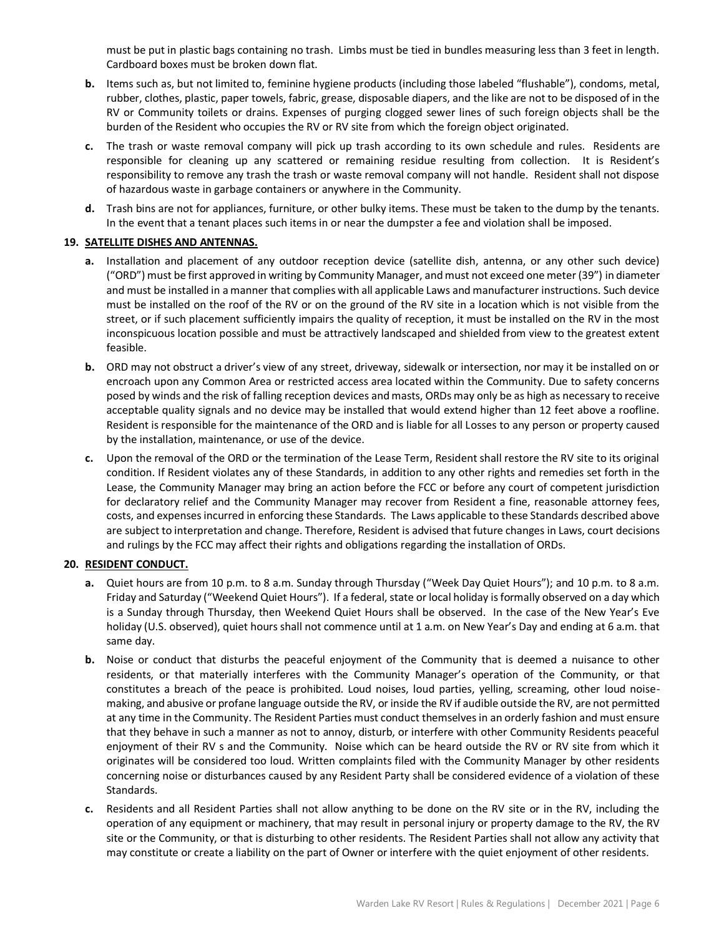must be put in plastic bags containing no trash. Limbs must be tied in bundles measuring less than 3 feet in length. Cardboard boxes must be broken down flat.

- **b.** Items such as, but not limited to, feminine hygiene products (including those labeled "flushable"), condoms, metal, rubber, clothes, plastic, paper towels, fabric, grease, disposable diapers, and the like are not to be disposed of in the RV or Community toilets or drains. Expenses of purging clogged sewer lines of such foreign objects shall be the burden of the Resident who occupies the RV or RV site from which the foreign object originated.
- **c.** The trash or waste removal company will pick up trash according to its own schedule and rules. Residents are responsible for cleaning up any scattered or remaining residue resulting from collection. It is Resident's responsibility to remove any trash the trash or waste removal company will not handle. Resident shall not dispose of hazardous waste in garbage containers or anywhere in the Community.
- **d.** Trash bins are not for appliances, furniture, or other bulky items. These must be taken to the dump by the tenants. In the event that a tenant places such items in or near the dumpster a fee and violation shall be imposed.

## **19. SATELLITE DISHES AND ANTENNAS.**

- **a.** Installation and placement of any outdoor reception device (satellite dish, antenna, or any other such device) ("ORD") must be first approved in writing by Community Manager, and must not exceed one meter (39") in diameter and must be installed in a manner that complies with all applicable Laws and manufacturer instructions. Such device must be installed on the roof of the RV or on the ground of the RV site in a location which is not visible from the street, or if such placement sufficiently impairs the quality of reception, it must be installed on the RV in the most inconspicuous location possible and must be attractively landscaped and shielded from view to the greatest extent feasible.
- **b.** ORD may not obstruct a driver's view of any street, driveway, sidewalk or intersection, nor may it be installed on or encroach upon any Common Area or restricted access area located within the Community. Due to safety concerns posed by winds and the risk of falling reception devices and masts, ORDs may only be as high as necessary to receive acceptable quality signals and no device may be installed that would extend higher than 12 feet above a roofline. Resident is responsible for the maintenance of the ORD and is liable for all Losses to any person or property caused by the installation, maintenance, or use of the device.
- **c.** Upon the removal of the ORD or the termination of the Lease Term, Resident shall restore the RV site to its original condition. If Resident violates any of these Standards, in addition to any other rights and remedies set forth in the Lease, the Community Manager may bring an action before the FCC or before any court of competent jurisdiction for declaratory relief and the Community Manager may recover from Resident a fine, reasonable attorney fees, costs, and expenses incurred in enforcing these Standards. The Laws applicable to these Standards described above are subject to interpretation and change. Therefore, Resident is advised that future changes in Laws, court decisions and rulings by the FCC may affect their rights and obligations regarding the installation of ORDs.

## **20. RESIDENT CONDUCT.**

- **a.** Quiet hours are from 10 p.m. to 8 a.m. Sunday through Thursday ("Week Day Quiet Hours"); and 10 p.m. to 8 a.m. Friday and Saturday ("Weekend Quiet Hours"). If a federal, state or local holiday is formally observed on a day which is a Sunday through Thursday, then Weekend Quiet Hours shall be observed. In the case of the New Year's Eve holiday (U.S. observed), quiet hours shall not commence until at 1 a.m. on New Year's Day and ending at 6 a.m. that same day.
- **b.** Noise or conduct that disturbs the peaceful enjoyment of the Community that is deemed a nuisance to other residents, or that materially interferes with the Community Manager's operation of the Community, or that constitutes a breach of the peace is prohibited. Loud noises, loud parties, yelling, screaming, other loud noisemaking, and abusive or profane language outside the RV, or inside the RV if audible outside the RV, are not permitted at any time in the Community. The Resident Parties must conduct themselves in an orderly fashion and must ensure that they behave in such a manner as not to annoy, disturb, or interfere with other Community Residents peaceful enjoyment of their RV s and the Community. Noise which can be heard outside the RV or RV site from which it originates will be considered too loud. Written complaints filed with the Community Manager by other residents concerning noise or disturbances caused by any Resident Party shall be considered evidence of a violation of these Standards.
- **c.** Residents and all Resident Parties shall not allow anything to be done on the RV site or in the RV, including the operation of any equipment or machinery, that may result in personal injury or property damage to the RV, the RV site or the Community, or that is disturbing to other residents. The Resident Parties shall not allow any activity that may constitute or create a liability on the part of Owner or interfere with the quiet enjoyment of other residents.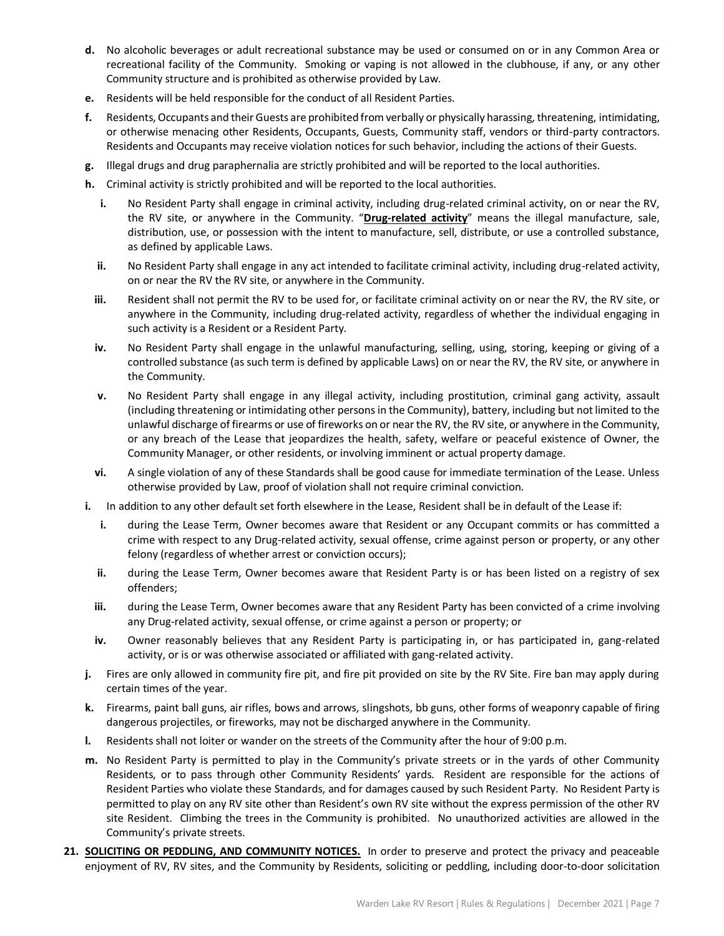- **d.** No alcoholic beverages or adult recreational substance may be used or consumed on or in any Common Area or recreational facility of the Community. Smoking or vaping is not allowed in the clubhouse, if any, or any other Community structure and is prohibited as otherwise provided by Law.
- **e.** Residents will be held responsible for the conduct of all Resident Parties.
- **f.** Residents, Occupants and their Guests are prohibited from verbally or physically harassing, threatening, intimidating, or otherwise menacing other Residents, Occupants, Guests, Community staff, vendors or third-party contractors. Residents and Occupants may receive violation notices for such behavior, including the actions of their Guests.
- **g.** Illegal drugs and drug paraphernalia are strictly prohibited and will be reported to the local authorities.
- **h.** Criminal activity is strictly prohibited and will be reported to the local authorities.
	- **i.** No Resident Party shall engage in criminal activity, including drug-related criminal activity, on or near the RV, the RV site, or anywhere in the Community. "**Drug-related activity**" means the illegal manufacture, sale, distribution, use, or possession with the intent to manufacture, sell, distribute, or use a controlled substance, as defined by applicable Laws.
	- **ii.** No Resident Party shall engage in any act intended to facilitate criminal activity, including drug-related activity, on or near the RV the RV site, or anywhere in the Community.
	- **iii.** Resident shall not permit the RV to be used for, or facilitate criminal activity on or near the RV, the RV site, or anywhere in the Community, including drug-related activity, regardless of whether the individual engaging in such activity is a Resident or a Resident Party.
	- **iv.** No Resident Party shall engage in the unlawful manufacturing, selling, using, storing, keeping or giving of a controlled substance (as such term is defined by applicable Laws) on or near the RV, the RV site, or anywhere in the Community.
	- **v.** No Resident Party shall engage in any illegal activity, including prostitution, criminal gang activity, assault (including threatening or intimidating other persons in the Community), battery, including but not limited to the unlawful discharge of firearms or use of fireworks on or near the RV, the RV site, or anywhere in the Community, or any breach of the Lease that jeopardizes the health, safety, welfare or peaceful existence of Owner, the Community Manager, or other residents, or involving imminent or actual property damage.
	- **vi.** A single violation of any of these Standards shall be good cause for immediate termination of the Lease. Unless otherwise provided by Law, proof of violation shall not require criminal conviction.
- **i.** In addition to any other default set forth elsewhere in the Lease, Resident shall be in default of the Lease if:
	- **i.** during the Lease Term, Owner becomes aware that Resident or any Occupant commits or has committed a crime with respect to any Drug-related activity, sexual offense, crime against person or property, or any other felony (regardless of whether arrest or conviction occurs);
	- **ii.** during the Lease Term, Owner becomes aware that Resident Party is or has been listed on a registry of sex offenders;
	- **iii.** during the Lease Term, Owner becomes aware that any Resident Party has been convicted of a crime involving any Drug-related activity, sexual offense, or crime against a person or property; or
	- **iv.** Owner reasonably believes that any Resident Party is participating in, or has participated in, gang-related activity, or is or was otherwise associated or affiliated with gang-related activity.
- **j.** Fires are only allowed in community fire pit, and fire pit provided on site by the RV Site. Fire ban may apply during certain times of the year.
- **k.** Firearms, paint ball guns, air rifles, bows and arrows, slingshots, bb guns, other forms of weaponry capable of firing dangerous projectiles, or fireworks, may not be discharged anywhere in the Community.
- **l.** Residents shall not loiter or wander on the streets of the Community after the hour of 9:00 p.m.
- **m.** No Resident Party is permitted to play in the Community's private streets or in the yards of other Community Residents, or to pass through other Community Residents' yards. Resident are responsible for the actions of Resident Parties who violate these Standards, and for damages caused by such Resident Party. No Resident Party is permitted to play on any RV site other than Resident's own RV site without the express permission of the other RV site Resident. Climbing the trees in the Community is prohibited. No unauthorized activities are allowed in the Community's private streets.
- **21. SOLICITING OR PEDDLING, AND COMMUNITY NOTICES.** In order to preserve and protect the privacy and peaceable enjoyment of RV, RV sites, and the Community by Residents, soliciting or peddling, including door-to-door solicitation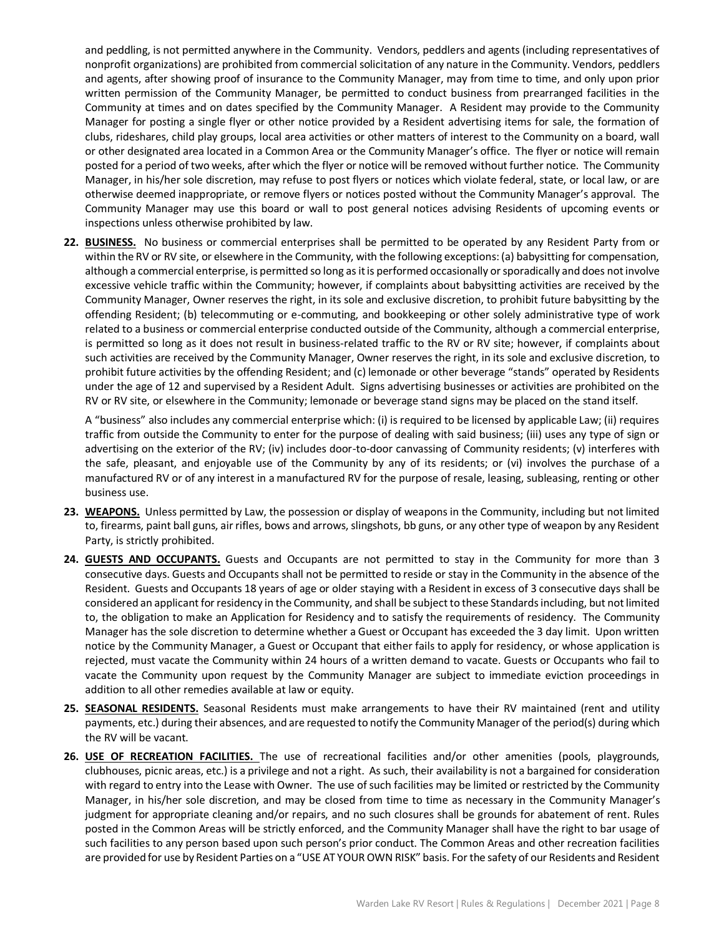and peddling, is not permitted anywhere in the Community. Vendors, peddlers and agents (including representatives of nonprofit organizations) are prohibited from commercial solicitation of any nature in the Community. Vendors, peddlers and agents, after showing proof of insurance to the Community Manager, may from time to time, and only upon prior written permission of the Community Manager, be permitted to conduct business from prearranged facilities in the Community at times and on dates specified by the Community Manager. A Resident may provide to the Community Manager for posting a single flyer or other notice provided by a Resident advertising items for sale, the formation of clubs, rideshares, child play groups, local area activities or other matters of interest to the Community on a board, wall or other designated area located in a Common Area or the Community Manager's office. The flyer or notice will remain posted for a period of two weeks, after which the flyer or notice will be removed without further notice. The Community Manager, in his/her sole discretion, may refuse to post flyers or notices which violate federal, state, or local law, or are otherwise deemed inappropriate, or remove flyers or notices posted without the Community Manager's approval. The Community Manager may use this board or wall to post general notices advising Residents of upcoming events or inspections unless otherwise prohibited by law.

**22. BUSINESS.** No business or commercial enterprises shall be permitted to be operated by any Resident Party from or within the RV or RV site, or elsewhere in the Community, with the following exceptions: (a) babysitting for compensation, although a commercial enterprise, is permitted so long as it is performed occasionally or sporadically and does not involve excessive vehicle traffic within the Community; however, if complaints about babysitting activities are received by the Community Manager, Owner reserves the right, in its sole and exclusive discretion, to prohibit future babysitting by the offending Resident; (b) telecommuting or e-commuting, and bookkeeping or other solely administrative type of work related to a business or commercial enterprise conducted outside of the Community, although a commercial enterprise, is permitted so long as it does not result in business-related traffic to the RV or RV site; however, if complaints about such activities are received by the Community Manager, Owner reserves the right, in its sole and exclusive discretion, to prohibit future activities by the offending Resident; and (c) lemonade or other beverage "stands" operated by Residents under the age of 12 and supervised by a Resident Adult. Signs advertising businesses or activities are prohibited on the RV or RV site, or elsewhere in the Community; lemonade or beverage stand signs may be placed on the stand itself.

A "business" also includes any commercial enterprise which: (i) is required to be licensed by applicable Law; (ii) requires traffic from outside the Community to enter for the purpose of dealing with said business; (iii) uses any type of sign or advertising on the exterior of the RV; (iv) includes door-to-door canvassing of Community residents; (v) interferes with the safe, pleasant, and enjoyable use of the Community by any of its residents; or (vi) involves the purchase of a manufactured RV or of any interest in a manufactured RV for the purpose of resale, leasing, subleasing, renting or other business use.

- **23. WEAPONS.** Unless permitted by Law, the possession or display of weapons in the Community, including but not limited to, firearms, paint ball guns, air rifles, bows and arrows, slingshots, bb guns, or any other type of weapon by any Resident Party, is strictly prohibited.
- **24. GUESTS AND OCCUPANTS.** Guests and Occupants are not permitted to stay in the Community for more than 3 consecutive days. Guests and Occupants shall not be permitted to reside or stay in the Community in the absence of the Resident. Guests and Occupants 18 years of age or older staying with a Resident in excess of 3 consecutive days shall be considered an applicant for residency in the Community, and shall be subject to these Standards including, but not limited to, the obligation to make an Application for Residency and to satisfy the requirements of residency. The Community Manager has the sole discretion to determine whether a Guest or Occupant has exceeded the 3 day limit. Upon written notice by the Community Manager, a Guest or Occupant that either fails to apply for residency, or whose application is rejected, must vacate the Community within 24 hours of a written demand to vacate. Guests or Occupants who fail to vacate the Community upon request by the Community Manager are subject to immediate eviction proceedings in addition to all other remedies available at law or equity.
- **25. SEASONAL RESIDENTS.** Seasonal Residents must make arrangements to have their RV maintained (rent and utility payments, etc.) during their absences, and are requested to notify the Community Manager of the period(s) during which the RV will be vacant.
- **26. USE OF RECREATION FACILITIES.** The use of recreational facilities and/or other amenities (pools, playgrounds, clubhouses, picnic areas, etc.) is a privilege and not a right. As such, their availability is not a bargained for consideration with regard to entry into the Lease with Owner. The use of such facilities may be limited or restricted by the Community Manager, in his/her sole discretion, and may be closed from time to time as necessary in the Community Manager's judgment for appropriate cleaning and/or repairs, and no such closures shall be grounds for abatement of rent. Rules posted in the Common Areas will be strictly enforced, and the Community Manager shall have the right to bar usage of such facilities to any person based upon such person's prior conduct. The Common Areas and other recreation facilities are provided for use by Resident Parties on a "USE AT YOUR OWN RISK" basis. For the safety of our Residents and Resident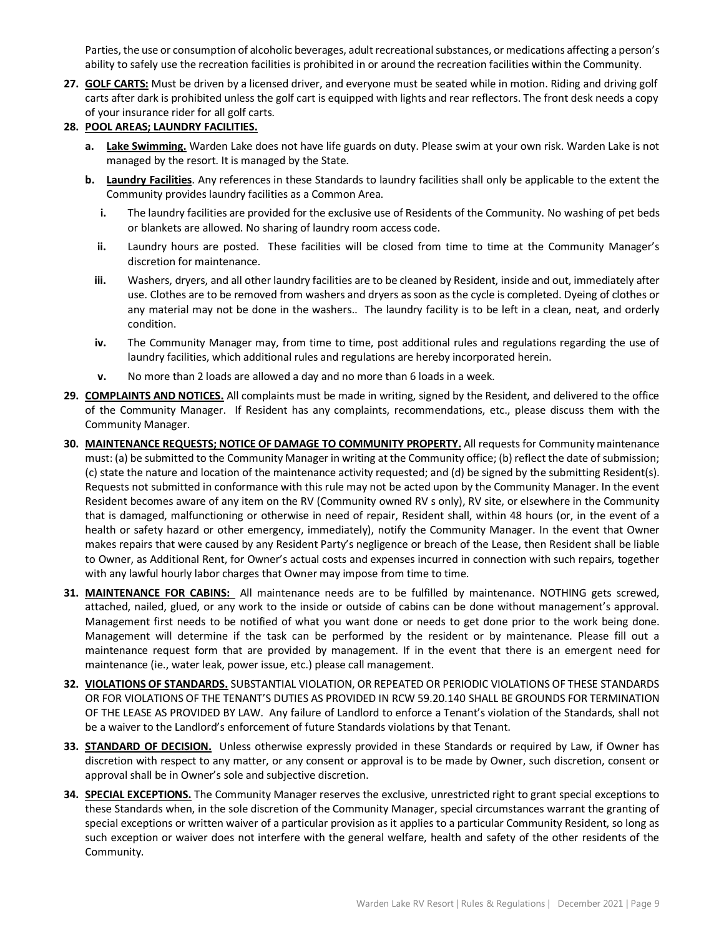Parties, the use or consumption of alcoholic beverages, adult recreational substances, or medications affecting a person's ability to safely use the recreation facilities is prohibited in or around the recreation facilities within the Community.

**27. GOLF CARTS:** Must be driven by a licensed driver, and everyone must be seated while in motion. Riding and driving golf carts after dark is prohibited unless the golf cart is equipped with lights and rear reflectors. The front desk needs a copy of your insurance rider for all golf carts.

## **28. POOL AREAS; LAUNDRY FACILITIES.**

- **a. Lake Swimming.** Warden Lake does not have life guards on duty. Please swim at your own risk. Warden Lake is not managed by the resort. It is managed by the State.
- **b. Laundry Facilities**. Any references in these Standards to laundry facilities shall only be applicable to the extent the Community provides laundry facilities as a Common Area.
	- **i.** The laundry facilities are provided for the exclusive use of Residents of the Community. No washing of pet beds or blankets are allowed. No sharing of laundry room access code.
	- **ii.** Laundry hours are posted. These facilities will be closed from time to time at the Community Manager's discretion for maintenance.
	- **iii.** Washers, dryers, and all other laundry facilities are to be cleaned by Resident, inside and out, immediately after use. Clothes are to be removed from washers and dryers as soon as the cycle is completed. Dyeing of clothes or any material may not be done in the washers.. The laundry facility is to be left in a clean, neat, and orderly condition.
	- **iv.** The Community Manager may, from time to time, post additional rules and regulations regarding the use of laundry facilities, which additional rules and regulations are hereby incorporated herein.
	- **v.** No more than 2 loads are allowed a day and no more than 6 loads in a week.
- **29. COMPLAINTS AND NOTICES.** All complaints must be made in writing, signed by the Resident, and delivered to the office of the Community Manager. If Resident has any complaints, recommendations, etc., please discuss them with the Community Manager.
- **30. MAINTENANCE REQUESTS; NOTICE OF DAMAGE TO COMMUNITY PROPERTY.** All requests for Community maintenance must: (a) be submitted to the Community Manager in writing at the Community office; (b) reflect the date of submission; (c) state the nature and location of the maintenance activity requested; and (d) be signed by the submitting Resident(s). Requests not submitted in conformance with this rule may not be acted upon by the Community Manager. In the event Resident becomes aware of any item on the RV (Community owned RV s only), RV site, or elsewhere in the Community that is damaged, malfunctioning or otherwise in need of repair, Resident shall, within 48 hours (or, in the event of a health or safety hazard or other emergency, immediately), notify the Community Manager. In the event that Owner makes repairs that were caused by any Resident Party's negligence or breach of the Lease, then Resident shall be liable to Owner, as Additional Rent, for Owner's actual costs and expenses incurred in connection with such repairs, together with any lawful hourly labor charges that Owner may impose from time to time.
- **31. MAINTENANCE FOR CABINS:** All maintenance needs are to be fulfilled by maintenance. NOTHING gets screwed, attached, nailed, glued, or any work to the inside or outside of cabins can be done without management's approval. Management first needs to be notified of what you want done or needs to get done prior to the work being done. Management will determine if the task can be performed by the resident or by maintenance. Please fill out a maintenance request form that are provided by management. If in the event that there is an emergent need for maintenance (ie., water leak, power issue, etc.) please call management.
- **32. VIOLATIONS OF STANDARDS.** SUBSTANTIAL VIOLATION, OR REPEATED OR PERIODIC VIOLATIONS OF THESE STANDARDS OR FOR VIOLATIONS OF THE TENANT'S DUTIES AS PROVIDED IN RCW 59.20.140 SHALL BE GROUNDS FOR TERMINATION OF THE LEASE AS PROVIDED BY LAW. Any failure of Landlord to enforce a Tenant's violation of the Standards, shall not be a waiver to the Landlord's enforcement of future Standards violations by that Tenant.
- **33. STANDARD OF DECISION.** Unless otherwise expressly provided in these Standards or required by Law, if Owner has discretion with respect to any matter, or any consent or approval is to be made by Owner, such discretion, consent or approval shall be in Owner's sole and subjective discretion.
- **34. SPECIAL EXCEPTIONS.** The Community Manager reserves the exclusive, unrestricted right to grant special exceptions to these Standards when, in the sole discretion of the Community Manager, special circumstances warrant the granting of special exceptions or written waiver of a particular provision as it applies to a particular Community Resident, so long as such exception or waiver does not interfere with the general welfare, health and safety of the other residents of the Community.